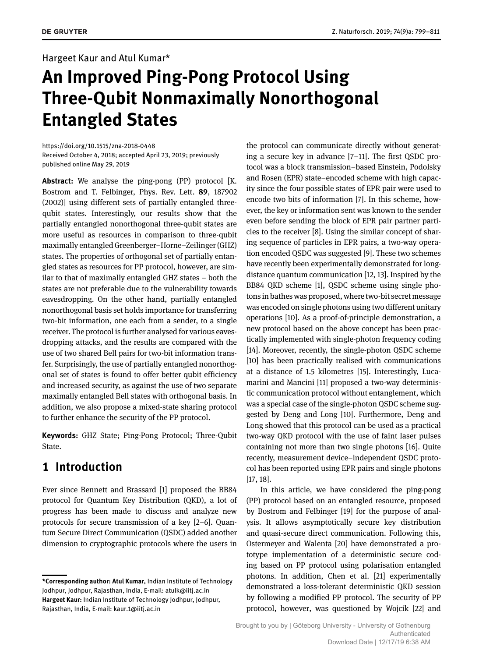#### Hargeet Kaur and Atul Kumar\*

# **An Improved Ping-Pong Protocol Using Three-Qubit Nonmaximally Nonorthogonal Entangled States**

https://doi.org/10.1515/zna-2018-0448 Received October 4, 2018; accepted April 23, 2019; previously published online May 29, 2019

**Abstract:** We analyse the ping-pong (PP) protocol [K. Bostrom and T. Felbinger, Phys. Rev. Lett. **89**, 187902 (2002)] using different sets of partially entangled threequbit states. Interestingly, our results show that the partially entangled nonorthogonal three-qubit states are more useful as resources in comparison to three-qubit maximally entangled Greenberger–Horne–Zeilinger (GHZ) states. The properties of orthogonal set of partially entangled states as resources for PP protocol, however, are similar to that of maximally entangled GHZ states – both the states are not preferable due to the vulnerability towards eavesdropping. On the other hand, partially entangled nonorthogonal basis set holds importance for transferring two-bit information, one each from a sender, to a single receiver. The protocol is further analysed for various eavesdropping attacks, and the results are compared with the use of two shared Bell pairs for two-bit information transfer. Surprisingly, the use of partially entangled nonorthogonal set of states is found to offer better qubit efficiency and increased security, as against the use of two separate maximally entangled Bell states with orthogonal basis. In addition, we also propose a mixed-state sharing protocol to further enhance the security of the PP protocol.

**Keywords:** GHZ State; Ping-Pong Protocol; Three-Qubit State.

### **1 Introduction**

Ever since Bennett and Brassard [1] proposed the BB84 protocol for Quantum Key Distribution (QKD), a lot of progress has been made to discuss and analyze new protocols for secure transmission of a key [2–6]. Quantum Secure Direct Communication (QSDC) added another dimension to cryptographic protocols where the users in

the protocol can communicate directly without generating a secure key in advance [7–11]. The first QSDC protocol was a block transmission–based Einstein, Podolsky and Rosen (EPR) state–encoded scheme with high capacity since the four possible states of EPR pair were used to encode two bits of information [7]. In this scheme, however, the key or information sent was known to the sender even before sending the block of EPR pair partner particles to the receiver [8]. Using the similar concept of sharing sequence of particles in EPR pairs, a two-way operation encoded QSDC was suggested [9]. These two schemes have recently been experimentally demonstrated for longdistance quantum communication [12, 13]. Inspired by the BB84 QKD scheme [1], QSDC scheme using single photons in bathes was proposed, where two-bit secret message was encoded on single photons using two different unitary operations [10]. As a proof-of-principle demonstration, a new protocol based on the above concept has been practically implemented with single-photon frequency coding [14]. Moreover, recently, the single-photon QSDC scheme [10] has been practically realised with communications at a distance of 1.5 kilometres [15]. Interestingly, Lucamarini and Mancini [11] proposed a two-way deterministic communication protocol without entanglement, which was a special case of the single-photon QSDC scheme suggested by Deng and Long [10]. Furthermore, Deng and Long showed that this protocol can be used as a practical two-way QKD protocol with the use of faint laser pulses containing not more than two single photons [16]. Quite recently, measurement device–independent QSDC protocol has been reported using EPR pairs and single photons [17, 18].

In this article, we have considered the ping-pong (PP) protocol based on an entangled resource, proposed by Bostrom and Felbinger [19] for the purpose of analysis. It allows asymptotically secure key distribution and quasi-secure direct communication. Following this, Ostermeyer and Walenta [20] have demonstrated a prototype implementation of a deterministic secure coding based on PP protocol using polarisation entangled photons. In addition, Chen et al. [21] experimentally demonstrated a loss-tolerant deterministic QKD session by following a modified PP protocol. The security of PP protocol, however, was questioned by Wojcik [22] and

**<sup>\*</sup>Corresponding author: Atul Kumar,** Indian Institute of Technology Jodhpur, Jodhpur, Rajasthan, India, E-mail: atulk@iitj.ac.in **Hargeet Kaur:** Indian Institute of Technology Jodhpur, Jodhpur, Rajasthan, India, E-mail: kaur.1@iitj.ac.in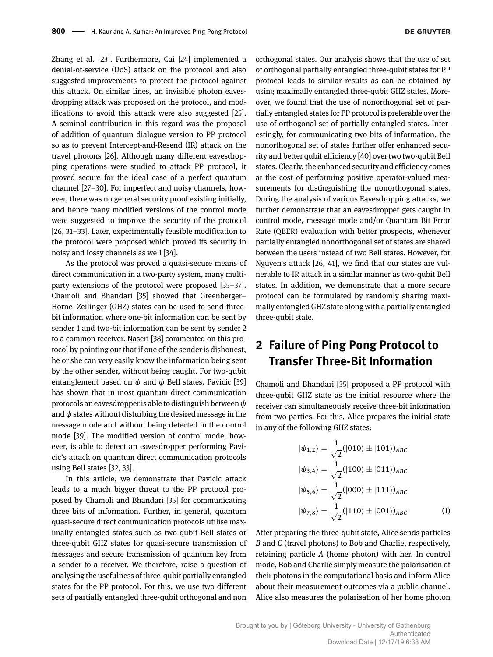Zhang et al. [23]. Furthermore, Cai [24] implemented a denial-of-service (DoS) attack on the protocol and also suggested improvements to protect the protocol against this attack. On similar lines, an invisible photon eavesdropping attack was proposed on the protocol, and modifications to avoid this attack were also suggested [25]. A seminal contribution in this regard was the proposal of addition of quantum dialogue version to PP protocol so as to prevent Intercept-and-Resend (IR) attack on the travel photons [26]. Although many different eavesdropping operations were studied to attack PP protocol, it proved secure for the ideal case of a perfect quantum channel [27–30]. For imperfect and noisy channels, however, there was no general security proof existing initially, and hence many modified versions of the control mode were suggested to improve the security of the protocol [26, 31–33]. Later, experimentally feasible modification to the protocol were proposed which proved its security in noisy and lossy channels as well [34].

As the protocol was proved a quasi-secure means of direct communication in a two-party system, many multiparty extensions of the protocol were proposed [35–37]. Chamoli and Bhandari [35] showed that Greenberger– Horne–Zeilinger (GHZ) states can be used to send threebit information where one-bit information can be sent by sender 1 and two-bit information can be sent by sender 2 to a common receiver. Naseri [38] commented on this protocol by pointing out that if one of the sender is dishonest, he or she can very easily know the information being sent by the other sender, without being caught. For two-qubit entanglement based on *ψ* and *ϕ* Bell states, Pavicic [39] has shown that in most quantum direct communication protocols an eavesdropper is able to distinguish between *ψ* and *ϕ* states without disturbing the desired message in the message mode and without being detected in the control mode [39]. The modified version of control mode, however, is able to detect an eavesdropper performing Pavicic's attack on quantum direct communication protocols using Bell states [32, 33].

In this article, we demonstrate that Pavicic attack leads to a much bigger threat to the PP protocol proposed by Chamoli and Bhandari [35] for communicating three bits of information. Further, in general, quantum quasi-secure direct communication protocols utilise maximally entangled states such as two-qubit Bell states or three-qubit GHZ states for quasi-secure transmission of messages and secure transmission of quantum key from a sender to a receiver. We therefore, raise a question of analysing the usefulness of three-qubit partially entangled states for the PP protocol. For this, we use two different sets of partially entangled three-qubit orthogonal and non

orthogonal states. Our analysis shows that the use of set of orthogonal partially entangled three-qubit states for PP protocol leads to similar results as can be obtained by using maximally entangled three-qubit GHZ states. Moreover, we found that the use of nonorthogonal set of partially entangled states for PP protocol is preferable over the use of orthogonal set of partially entangled states. Interestingly, for communicating two bits of information, the nonorthogonal set of states further offer enhanced security and better qubit efficiency [40] over two two-qubit Bell states. Clearly, the enhanced security and efficiency comes at the cost of performing positive operator-valued measurements for distinguishing the nonorthogonal states. During the analysis of various Eavesdropping attacks, we further demonstrate that an eavesdropper gets caught in control mode, message mode and/or Quantum Bit Error Rate (QBER) evaluation with better prospects, whenever partially entangled nonorthogonal set of states are shared between the users instead of two Bell states. However, for Nguyen's attack [26, 41], we find that our states are vulnerable to IR attack in a similar manner as two-qubit Bell states. In addition, we demonstrate that a more secure protocol can be formulated by randomly sharing maximally entangled GHZ state along with a partially entangled three-qubit state.

# **2 Failure of Ping Pong Protocol to Transfer Three-Bit Information**

Chamoli and Bhandari [35] proposed a PP protocol with three-qubit GHZ state as the initial resource where the receiver can simultaneously receive three-bit information from two parties. For this, Alice prepares the initial state in any of the following GHZ states:

$$
|\psi_{1,2}\rangle = \frac{1}{\sqrt{2}}(|010\rangle \pm |101\rangle)_{ABC}
$$
  

$$
|\psi_{3,4}\rangle = \frac{1}{\sqrt{2}}(|100\rangle \pm |011\rangle)_{ABC}
$$
  

$$
|\psi_{5,6}\rangle = \frac{1}{\sqrt{2}}(|000\rangle \pm |111\rangle)_{ABC}
$$
  

$$
|\psi_{7,8}\rangle = \frac{1}{\sqrt{2}}(|110\rangle \pm |001\rangle)_{ABC}
$$
 (1)

After preparing the three-qubit state, Alice sends particles *B* and *C* (travel photons) to Bob and Charlie, respectively, retaining particle *A* (home photon) with her. In control mode, Bob and Charlie simply measure the polarisation of their photons in the computational basis and inform Alice about their measurement outcomes via a public channel. Alice also measures the polarisation of her home photon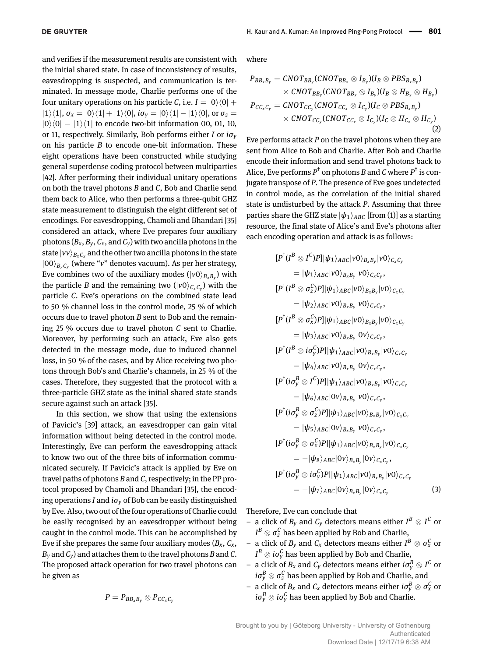and verifies if the measurement results are consistent with the initial shared state. In case of inconsistency of results, eavesdropping is suspected, and communication is terminated. In message mode, Charlie performs one of the four unitary operations on his particle *C*, i.e.  $I = |0\rangle\langle 0|$  +  $|1\rangle\langle 1|, \sigma_x = |0\rangle\langle 1| + |1\rangle\langle 0|, i\sigma_y = |0\rangle\langle 1| - |1\rangle\langle 0|,$  or  $\sigma_z =$  $|0\rangle\langle 0| - |1\rangle\langle 1|$  to encode two-bit information 00, 01, 10, or 11, respectively. Similarly, Bob performs either *I* or *iσ<sup>y</sup>* on his particle *B* to encode one-bit information. These eight operations have been constructed while studying general superdense coding protocol between multiparties [42]. After performing their individual unitary operations on both the travel photons *B* and *C*, Bob and Charlie send them back to Alice, who then performs a three-qubit GHZ state measurement to distinguish the eight different set of encodings. For eavesdropping, Chamoli and Bhandari [35] considered an attack, where Eve prepares four auxiliary photons  $(B_x, B_y, C_x, \text{and } C_y)$  with two ancilla photons in the state  $|v v\rangle_{B_x C_x}$  and the other two ancilla photons in the state |00⟩*ByC<sup>y</sup>* (where "*v*" denotes vacuum). As per her strategy, Eve combines two of the auxiliary modes  $(|v0\rangle_{B_xB_y})$  with the particle *B* and the remaining two  $(|v0\rangle_{C_xC_y})$  with the particle *C*. Eve's operations on the combined state lead to 50 % channel loss in the control mode, 25 % of which occurs due to travel photon *B* sent to Bob and the remaining 25 % occurs due to travel photon *C* sent to Charlie. Moreover, by performing such an attack, Eve also gets detected in the message mode, due to induced channel loss, in 50 % of the cases, and by Alice receiving two photons through Bob's and Charlie's channels, in 25 % of the cases. Therefore, they suggested that the protocol with a three-particle GHZ state as the initial shared state stands secure against such an attack [35].

In this section, we show that using the extensions of Pavicic's [39] attack, an eavesdropper can gain vital information without being detected in the control mode. Interestingly, Eve can perform the eavesdropping attack to know two out of the three bits of information communicated securely. If Pavicic's attack is applied by Eve on travel paths of photons *B* and *C*, respectively; in the PP protocol proposed by Chamoli and Bhandari [35], the encoding operations *I* and  $i\sigma_v$  of Bob can be easily distinguished by Eve. Also, two out of the four operations of Charlie could be easily recognised by an eavesdropper without being caught in the control mode. This can be accomplished by Eve if she prepares the same four auxiliary modes  $(B_x, C_x,$  $B_y$  and  $C_y$ ) and attaches them to the travel photons *B* and *C*. The proposed attack operation for two travel photons can be given as

$$
P = P_{BB_xB_y} \otimes P_{CC_xC_y}
$$

where

$$
P_{BB_xB_y} = CNOT_{BB_y}(CNOT_{BB_x} \otimes I_{B_y})(I_B \otimes PBS_{B_xB_y})
$$
  
\n
$$
\times CNOT_{BB_y}(CNOT_{BB_x} \otimes I_{B_y})(I_B \otimes H_{B_x} \otimes H_{B_y})
$$
  
\n
$$
P_{CC_xC_y} = CNOT_{CC_y}(CNOT_{CC_x} \otimes I_{C_y})(I_C \otimes PBS_{B_xB_y})
$$
  
\n
$$
\times CNOT_{CC_y}(CNOT_{CC_x} \otimes I_{C_y})(I_C \otimes H_{C_x} \otimes H_{C_y})
$$
  
\n(2)

Eve performs attack *P* on the travel photons when they are sent from Alice to Bob and Charlie. After Bob and Charlie encode their information and send travel photons back to Alice, Eve performs  $P^\dagger$  on photons  $B$  and  $C$  where  $P^\dagger$  is conjugate transpose of *P*. The presence of Eve goes undetected in control mode, as the correlation of the initial shared state is undisturbed by the attack *P*. Assuming that three parties share the GHZ state  $|\psi_1\rangle_{ABC}$  [from (1)] as a starting resource, the final state of Alice's and Eve's photons after each encoding operation and attack is as follows:

$$
[P^{\dagger}(I^{B} \otimes I^{C})P]|\psi_{1}\rangle_{ABC}|\nu 0\rangle_{B_{x}B_{y}}|\nu 0\rangle_{C_{x}C_{y}}
$$
\n
$$
= |\psi_{1}\rangle_{ABC}|\nu 0\rangle_{B_{x}B_{y}}|\nu 0\rangle_{C_{x}C_{y}},
$$
\n
$$
[P^{\dagger}(I^{B} \otimes \sigma_{z}^{C})P]|\psi_{1}\rangle_{ABC}|\nu 0\rangle_{B_{x}B_{y}}|\nu 0\rangle_{C_{x}C_{y}}
$$
\n
$$
= |\psi_{2}\rangle_{ABC}|\nu 0\rangle_{B_{x}B_{y}}|\nu 0\rangle_{C_{x}C_{y}},
$$
\n
$$
[P^{\dagger}(I^{B} \otimes \sigma_{x}^{C})P]|\psi_{1}\rangle_{ABC}|\nu 0\rangle_{B_{x}B_{y}}|\nu 0\rangle_{C_{x}C_{y}}
$$
\n
$$
= |\psi_{3}\rangle_{ABC}|\nu 0\rangle_{B_{x}B_{y}}|\nu 0\rangle_{C_{x}C_{y}},
$$
\n
$$
[P^{\dagger}(I^{B} \otimes i\sigma_{y}^{C})P]|\psi_{1}\rangle_{ABC}|\nu 0\rangle_{B_{x}B_{y}}|\nu 0\rangle_{C_{x}C_{y}}
$$
\n
$$
= |\psi_{4}\rangle_{ABC}|\nu 0\rangle_{B_{x}B_{y}}|\nu 0\rangle_{C_{x}C_{y}},
$$
\n
$$
[P^{\dagger}(i\sigma_{y}^{B} \otimes I^{C})P]|\psi_{1}\rangle_{ABC}|\nu 0\rangle_{B_{x}B_{y}}|\nu 0\rangle_{C_{x}C_{y}}
$$
\n
$$
= |\psi_{6}\rangle_{ABC}|0\nu\rangle_{B_{x}B_{y}}|\nu 0\rangle_{C_{x}C_{y}},
$$
\n
$$
[P^{\dagger}(i\sigma_{y}^{B} \otimes \sigma_{z}^{C})P]|\psi_{1}\rangle_{ABC}|\nu 0\rangle_{B_{x}B_{y}}|\nu 0\rangle_{C_{x}C_{y}}
$$
\n
$$
= |\psi_{5}\rangle_{ABC}|0\nu\rangle_{B_{x}B_{y}}|\nu 0\rangle_{C_{x}C_{y}},
$$
\n
$$
[P^{\dagger}(i\sigma_{y}^{B} \otimes \sigma_{x}^{C
$$

Therefore, Eve can conclude that

- − a click of *B<sub>y</sub>* and *C<sub>y</sub>* detectors means either  $I^B$  ⊗  $I^C$  or  $I^B\otimes\sigma_z^C$  has been applied by Bob and Charlie,
- − a click of *B*<sup>*y*</sup> and *C*<sup>*x*</sup> detectors means either  $I^B$  ⊗  $\sigma_x^C$  or  $I^B\otimes i\sigma^C_{\rm y}$  has been applied by Bob and Charlie,
- − a click of  $B_x$  and  $C_y$  detectors means either  $i\sigma_y^B$  ⊗  $I^C$  or  $i\sigma_y^B \otimes \sigma_z^C$  has been applied by Bob and Charlie, and
- $-$  a click of *B*<sub>*x*</sub> and *C*<sub>*x*</sub> detectors means either *iσ*<sup>*B*</sup></sup><sub>*y*</sub> ⊗ *σ*<sup>*C*</sup><sub>*x*</sub> or  $i\sigma_y^B\otimes i\sigma_y^C$  has been applied by Bob and Charlie.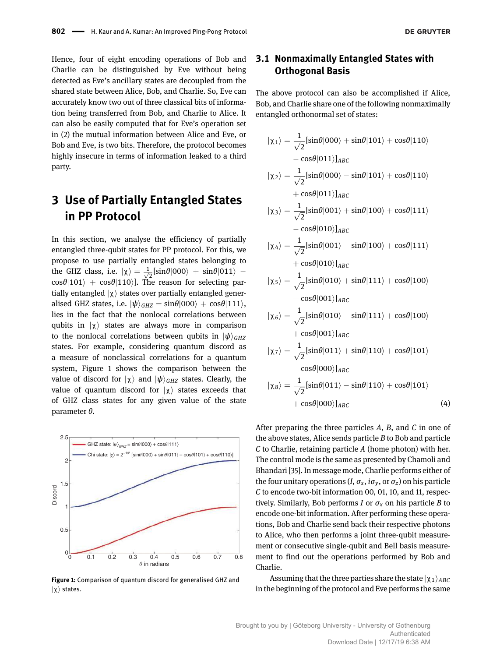Hence, four of eight encoding operations of Bob and Charlie can be distinguished by Eve without being detected as Eve's ancillary states are decoupled from the shared state between Alice, Bob, and Charlie. So, Eve can accurately know two out of three classical bits of information being transferred from Bob, and Charlie to Alice. It can also be easily computed that for Eve's operation set in (2) the mutual information between Alice and Eve, or Bob and Eve, is two bits. Therefore, the protocol becomes highly insecure in terms of information leaked to a third party.

## **3 Use of Partially Entangled States in PP Protocol**

In this section, we analyse the efficiency of partially entangled three-qubit states for PP protocol. For this, we propose to use partially entangled states belonging to the GHZ class, i.e.  $|\chi\rangle = \frac{1}{\sqrt{2}}$ 2 [sin*θ*|000⟩ + sin*θ*|011⟩ −  $\cos\theta|101\rangle + \cos\theta|110\rangle$ . The reason for selecting partially entangled  $|\chi\rangle$  states over partially entangled generalised GHZ states, i.e.  $|\psi\rangle_{GHZ} = \sin\theta|000\rangle + \cos\theta|111\rangle$ , lies in the fact that the nonlocal correlations between qubits in  $|\chi\rangle$  states are always more in comparison to the nonlocal correlations between qubits in  $|\psi\rangle_{GHZ}$ states. For example, considering quantum discord as a measure of nonclassical correlations for a quantum system, Figure 1 shows the comparison between the value of discord for  $|χ\rangle$  and  $|ψ\rangle$ <sub>*GHZ*</sub> states. Clearly, the value of quantum discord for  $|\chi\rangle$  states exceeds that of GHZ class states for any given value of the state parameter *θ*.



**Figure 1:** Comparison of quantum discord for generalised GHZ and |χ⟩ states.

#### **3.1 Nonmaximally Entangled States with Orthogonal Basis**

The above protocol can also be accomplished if Alice, Bob, and Charlie share one of the following nonmaximally entangled orthonormal set of states:

$$
|\chi_{1}\rangle = \frac{1}{\sqrt{2}} [\sin\theta|000\rangle + \sin\theta|101\rangle + \cos\theta|110\rangle
$$
  
\n
$$
-\cos\theta|011\rangle]_{ABC}
$$
  
\n
$$
|\chi_{2}\rangle = \frac{1}{\sqrt{2}} [\sin\theta|000\rangle - \sin\theta|101\rangle + \cos\theta|110\rangle
$$
  
\n
$$
+\cos\theta|011\rangle]_{ABC}
$$
  
\n
$$
|\chi_{3}\rangle = \frac{1}{\sqrt{2}} [\sin\theta|001\rangle + \sin\theta|100\rangle + \cos\theta|111\rangle
$$
  
\n
$$
-\cos\theta|010\rangle]_{ABC}
$$
  
\n
$$
|\chi_{4}\rangle = \frac{1}{\sqrt{2}} [\sin\theta|001\rangle - \sin\theta|100\rangle + \cos\theta|111\rangle
$$
  
\n
$$
+\cos\theta|010\rangle]_{ABC}
$$
  
\n
$$
|\chi_{5}\rangle = \frac{1}{\sqrt{2}} [\sin\theta|010\rangle + \sin\theta|111\rangle + \cos\theta|100\rangle
$$
  
\n
$$
-\cos\theta|001\rangle]_{ABC}
$$
  
\n
$$
|\chi_{6}\rangle = \frac{1}{\sqrt{2}} [\sin\theta|010\rangle - \sin\theta|111\rangle + \cos\theta|100\rangle
$$
  
\n
$$
+\cos\theta|001\rangle]_{ABC}
$$
  
\n
$$
|\chi_{7}\rangle = \frac{1}{\sqrt{2}} [\sin\theta|011\rangle + \sin\theta|110\rangle + \cos\theta|101\rangle
$$
  
\n
$$
-\cos\theta|000\rangle]_{ABC}
$$
  
\n
$$
|\chi_{8}\rangle = \frac{1}{\sqrt{2}} [\sin\theta|011\rangle - \sin\theta|110\rangle + \cos\theta|101\rangle
$$
  
\n
$$
+\cos\theta|000\rangle]_{ABC}
$$
  
\n(4)

After preparing the three particles *A*, *B*, and *C* in one of the above states, Alice sends particle *B* to Bob and particle *C* to Charlie, retaining particle *A* (home photon) with her. The control mode is the same as presented by Chamoli and Bhandari [35]. In message mode, Charlie performs either of the four unitary operations (*I*, *σx*, *iσy*, or *σz*) on his particle *C* to encode two-bit information 00, 01, 10, and 11, respectively. Similarly, Bob performs *I* or  $\sigma_x$  on his particle *B* to encode one-bit information. After performing these operations, Bob and Charlie send back their respective photons to Alice, who then performs a joint three-qubit measurement or consecutive single-qubit and Bell basis measurement to find out the operations performed by Bob and Charlie.

Assuming that the three parties share the state |χ1⟩*ABC* in the beginning of the protocol and Eve performs the same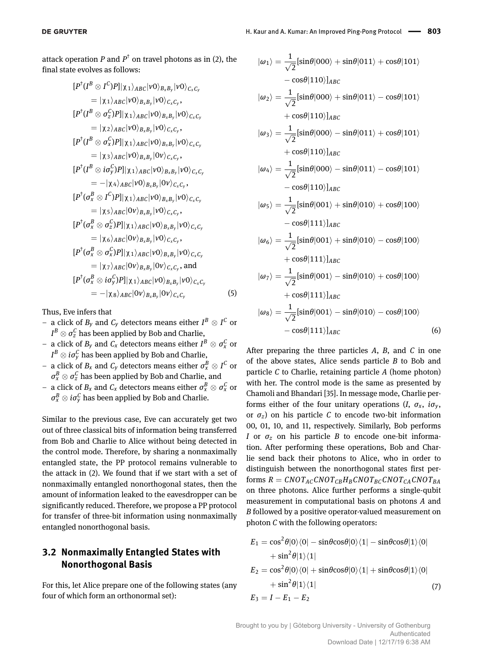attack operation  $P$  and  $P^{\dagger}$  on travel photons as in (2), the final state evolves as follows:

$$
[P^{\dagger}(I^{B} \otimes I^{C})P]|\chi_{1}\rangle_{ABC} |V0\rangle_{B_{x}B_{y}} |V0\rangle_{C_{x}C_{y}}
$$
\n
$$
= |\chi_{1}\rangle_{ABC} |V0\rangle_{B_{x}B_{y}} |V0\rangle_{C_{x}C_{y}},
$$
\n
$$
[P^{\dagger}(I^{B} \otimes \sigma_{z}^{C})P]|\chi_{1}\rangle_{ABC} |V0\rangle_{B_{x}B_{y}} |V0\rangle_{C_{x}C_{y}}
$$
\n
$$
= |\chi_{2}\rangle_{ABC} |V0\rangle_{B_{x}B_{y}} |V0\rangle_{C_{x}C_{y}},
$$
\n
$$
[P^{\dagger}(I^{B} \otimes \sigma_{x}^{C})P]|\chi_{1}\rangle_{ABC} |V0\rangle_{B_{x}B_{y}} |V0\rangle_{C_{x}C_{y}}
$$
\n
$$
= |\chi_{3}\rangle_{ABC} |V0\rangle_{B_{x}B_{y}} |0V\rangle_{C_{x}C_{y}},
$$
\n
$$
[P^{\dagger}(I^{B} \otimes i\sigma_{y}^{C})P]|\chi_{1}\rangle_{ABC} |V0\rangle_{B_{x}B_{y}} |V0\rangle_{C_{x}C_{y}}
$$
\n
$$
= -|\chi_{4}\rangle_{ABC} |V0\rangle_{B_{x}B_{y}} |0V\rangle_{C_{x}C_{y}},
$$
\n
$$
[P^{\dagger}(\sigma_{x}^{B} \otimes I^{C})P]|\chi_{1}\rangle_{ABC} |V0\rangle_{B_{x}B_{y}} |V0\rangle_{C_{x}C_{y}},
$$
\n
$$
[P^{\dagger}(\sigma_{x}^{B} \otimes \sigma_{z}^{C})P]|\chi_{1}\rangle_{ABC} |V0\rangle_{B_{x}B_{y}} |V0\rangle_{C_{x}C_{y}}
$$
\n
$$
= |\chi_{6}\rangle_{ABC} |0V\rangle_{B_{x}B_{y}} |V0\rangle_{C_{x}C_{y}},
$$
\n
$$
[P^{\dagger}(\sigma_{x}^{B} \otimes \sigma_{x}^{C})P]|\chi_{1}\rangle_{ABC} |V0\rangle_{B_{x}B_{y}} |V0\rangle_{C_{x}C_{y}}
$$
\n
$$
= |\chi_{7}\rangle_{ABC} |0V\rangle_{B_{x}B_{
$$

Thus, Eve infers that

- − a click of *B<sub>y</sub>* and *C<sub>y</sub>* detectors means either  $I^B$  ⊗  $I^C$  or  $I^B\otimes\sigma_z^C$  has been applied by Bob and Charlie,
- − a click of *B*<sup>*y*</sup> and *C*<sup>*x*</sup> detectors means either  $I^B$  ⊗  $\sigma^C_x$  or  $I^B\otimes i\sigma^C_{\rm y}$  has been applied by Bob and Charlie,
- $-$  a click of *B<sub>x</sub>* and *C<sub>y</sub>* detectors means either *σ*<sup>*B*</sup><sub>*x*</sub> ⊗ *I<sup>C</sup>* or  $\sigma _{_{X}}^{B}\otimes \sigma _{z}^{C}$  has been applied by Bob and Charlie, and
- $-$  a click of *B*<sub>*x*</sub> and *C<sub><i>x*</sub></sub> detectors means either *σ*<sup>*R*</sup><sub>*x*</sub> ⊗ *σ*<sup>*C*</sup><sub>*x*</sub> or  $\sigma_x^B \otimes i \sigma_y^C$  has been applied by Bob and Charlie.

Similar to the previous case, Eve can accurately get two out of three classical bits of information being transferred from Bob and Charlie to Alice without being detected in the control mode. Therefore, by sharing a nonmaximally entangled state, the PP protocol remains vulnerable to the attack in (2). We found that if we start with a set of nonmaximally entangled nonorthogonal states, then the amount of information leaked to the eavesdropper can be significantly reduced. Therefore, we propose a PP protocol for transfer of three-bit information using nonmaximally entangled nonorthogonal basis.

#### **3.2 Nonmaximally Entangled States with Nonorthogonal Basis**

For this, let Alice prepare one of the following states (any four of which form an orthonormal set):

$$
|\omega_1\rangle = \frac{1}{\sqrt{2}} [\sin\theta|000\rangle + \sin\theta|011\rangle + \cos\theta|101\rangle
$$
  
\n
$$
- \cos\theta|110\rangle]_{ABC}
$$
  
\n
$$
|\omega_2\rangle = \frac{1}{\sqrt{2}} [\sin\theta|000\rangle + \sin\theta|011\rangle - \cos\theta|101\rangle
$$
  
\n
$$
+ \cos\theta|110\rangle]_{ABC}
$$
  
\n
$$
|\omega_3\rangle = \frac{1}{\sqrt{2}} [\sin\theta|000\rangle - \sin\theta|011\rangle + \cos\theta|101\rangle
$$
  
\n
$$
+ \cos\theta|110\rangle]_{ABC}
$$
  
\n
$$
|\omega_4\rangle = \frac{1}{\sqrt{2}} [\sin\theta|000\rangle - \sin\theta|011\rangle - \cos\theta|101\rangle
$$
  
\n
$$
- \cos\theta|110\rangle]_{ABC}
$$
  
\n
$$
|\omega_5\rangle = \frac{1}{\sqrt{2}} [\sin\theta|001\rangle + \sin\theta|010\rangle + \cos\theta|100\rangle
$$
  
\n
$$
- \cos\theta|111\rangle]_{ABC}
$$
  
\n
$$
|\omega_6\rangle = \frac{1}{\sqrt{2}} [\sin\theta|001\rangle + \sin\theta|010\rangle - \cos\theta|100\rangle
$$
  
\n
$$
+ \cos\theta|111\rangle]_{ABC}
$$
  
\n
$$
|\omega_8\rangle = \frac{1}{\sqrt{2}} [\sin\theta|001\rangle - \sin\theta|010\rangle + \cos\theta|100\rangle
$$
  
\n
$$
- \cos\theta|111\rangle]_{ABC}
$$
  
\n
$$
|\omega_8\rangle = \frac{1}{\sqrt{2}} [\sin\theta|001\rangle - \sin\theta|010\rangle - \cos\theta|100\rangle
$$
  
\n
$$
- \cos\theta|111\rangle]_{ABC}
$$
  
\n(6)

After preparing the three particles *A*, *B*, and *C* in one of the above states, Alice sends particle *B* to Bob and particle *C* to Charlie, retaining particle *A* (home photon) with her. The control mode is the same as presented by Chamoli and Bhandari [35]. In message mode, Charlie performs either of the four unitary operations  $(I, \sigma_x, i\sigma_y, j\sigma_z)$ or *σz*) on his particle *C* to encode two-bit information 00, 01, 10, and 11, respectively. Similarly, Bob performs *I* or *σ<sup>z</sup>* on his particle *B* to encode one-bit information. After performing these operations, Bob and Charlie send back their photons to Alice, who in order to distinguish between the nonorthogonal states first per- $F = CNOT_{AC}CNOT_{CB}H_{B}CNOT_{BC}CNOT_{CA}CNOT_{BA}$ on three photons. Alice further performs a single-qubit measurement in computational basis on photons *A* and *B* followed by a positive operator-valued measurement on photon *C* with the following operators:

$$
E_1 = \cos^2 \theta |0\rangle\langle 0| - \sin\theta \cos\theta |0\rangle\langle 1| - \sin\theta \cos\theta |1\rangle\langle 0|
$$
  
+  $\sin^2 \theta |1\rangle\langle 1|$   

$$
E_2 = \cos^2 \theta |0\rangle\langle 0| + \sin\theta \cos\theta |0\rangle\langle 1| + \sin\theta \cos\theta |1\rangle\langle 0|
$$
  
+  $\sin^2 \theta |1\rangle\langle 1|$  (7)  

$$
E_3 = I - E_1 - E_2
$$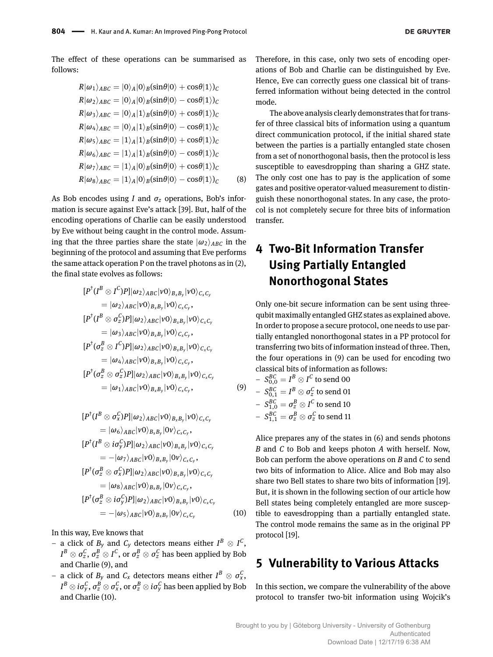The effect of these operations can be summarised as follows:

$$
R|\omega_1\rangle_{ABC} = |0\rangle_A |0\rangle_B (\sin\theta |0\rangle + \cos\theta |1\rangle)_{C}
$$
  
\n
$$
R|\omega_2\rangle_{ABC} = |0\rangle_A |0\rangle_B (\sin\theta |0\rangle - \cos\theta |1\rangle)_{C}
$$
  
\n
$$
R|\omega_3\rangle_{ABC} = |0\rangle_A |1\rangle_B (\sin\theta |0\rangle + \cos\theta |1\rangle)_{C}
$$
  
\n
$$
R|\omega_4\rangle_{ABC} = |0\rangle_A |1\rangle_B (\sin\theta |0\rangle - \cos\theta |1\rangle)_{C}
$$
  
\n
$$
R|\omega_5\rangle_{ABC} = |1\rangle_A |1\rangle_B (\sin\theta |0\rangle + \cos\theta |1\rangle)_{C}
$$
  
\n
$$
R|\omega_6\rangle_{ABC} = |1\rangle_A |1\rangle_B (\sin\theta |0\rangle - \cos\theta |1\rangle)_{C}
$$
  
\n
$$
R|\omega_7\rangle_{ABC} = |1\rangle_A |0\rangle_B (\sin\theta |0\rangle - \cos\theta |1\rangle)_{C}
$$
  
\n
$$
R|\omega_8\rangle_{ABC} = |1\rangle_A |0\rangle_B (\sin\theta |0\rangle - \cos\theta |1\rangle)_{C}
$$
  
\n(8)

As Bob encodes using *I* and *σ<sup>z</sup>* operations, Bob's information is secure against Eve's attack [39]. But, half of the encoding operations of Charlie can be easily understood by Eve without being caught in the control mode. Assuming that the three parties share the state  $|\omega_2\rangle_{ABC}$  in the beginning of the protocol and assuming that Eve performs the same attack operation P on the travel photons as in (2), the final state evolves as follows:

$$
[P^{\dagger}(I^{B} \otimes I^{C})P]|\omega_{2}\rangle_{ABC} |V0\rangle_{B_{x}B_{y}} |V0\rangle_{C_{x}C_{y}}= |\omega_{2}\rangle_{ABC} |V0\rangle_{B_{x}B_{y}} |V0\rangle_{C_{x}C_{y}},[P^{\dagger}(I^{B} \otimes \sigma_{z}^{C})P]|\omega_{2}\rangle_{ABC} |V0\rangle_{B_{x}B_{y}} |V0\rangle_{C_{x}C_{y}}= |\omega_{3}\rangle_{ABC} |V0\rangle_{B_{x}B_{y}} |V0\rangle_{C_{x}C_{y}},[P^{\dagger}(\sigma_{z}^{B} \otimes I^{C})P]|\omega_{2}\rangle_{ABC} |V0\rangle_{B_{x}B_{y}} |V0\rangle_{C_{x}C_{y}}= |\omega_{4}\rangle_{ABC} |V0\rangle_{B_{x}B_{y}} |V0\rangle_{C_{x}C_{y}},[P^{\dagger}(\sigma_{z}^{B} \otimes \sigma_{z}^{C})P]|\omega_{2}\rangle_{ABC} |V0\rangle_{B_{x}B_{y}} |V0\rangle_{C_{x}C_{y}}= |\omega_{1}\rangle_{ABC} |V0\rangle_{B_{x}B_{y}} |V0\rangle_{C_{x}C_{y}},
$$
(9)

$$
[P^{\dagger}(I^{B} \otimes \sigma_{x}^{C})P]|\omega_{2}\rangle_{ABC}|\nu0\rangle_{B_{x}B_{y}}|\nu0\rangle_{C_{x}C_{y}}=|\omega_{6}\rangle_{ABC}|\nu0\rangle_{B_{x}B_{y}}|0\nu\rangle_{C_{x}C_{y}},[P^{\dagger}(I^{B} \otimes i\sigma_{y}^{C})P]|\omega_{2}\rangle_{ABC}|\nu0\rangle_{B_{x}B_{y}}|\nu0\rangle_{C_{x}C_{y}}=-|\omega_{7}\rangle_{ABC}|\nu0\rangle_{B_{x}B_{y}}|0\nu\rangle_{C_{x}C_{y}},[P^{\dagger}(\sigma_{z}^{B} \otimes \sigma_{x}^{C})P]|\omega_{2}\rangle_{ABC}|\nu0\rangle_{B_{x}B_{y}}|\nu0\rangle_{C_{x}C_{y}}=|\omega_{8}\rangle_{ABC}|\nu0\rangle_{B_{x}B_{y}}|0\nu\rangle_{C_{x}C_{y}},[P^{\dagger}(\sigma_{z}^{B} \otimes i\sigma_{y}^{C})P]|\omega_{2}\rangle_{ABC}|\nu0\rangle_{B_{x}B_{y}}|\nu0\rangle_{C_{x}C_{y}}=-|\omega_{5}\rangle_{ABC}|\nu0\rangle_{B_{x}B_{y}}|0\nu\rangle_{C_{x}C_{y}} \qquad (10)
$$

In this way, Eve knows that

- − a click of *B*<sup>*y*</sup> and *C<sub><i>y*</sub> detectors means either  $I^B \otimes I^C$ ,  $I^B\otimes \sigma_z^C$ ,  $\sigma_z^B\otimes I^C$ , or  $\sigma_z^B\otimes \sigma_z^C$  has been applied by Bob and Charlie (9), and
- − a click of *B<sub>y</sub>* and *C<sub>x</sub>* detectors means either  $I^B \otimes \sigma_x^C$ ,  $I^B\otimes i\sigma^C_{\rm y},\,\sigma^B_{\rm z}\otimes\sigma^C_{\rm x},$  or  $\sigma^B_{\rm z}\otimes i\sigma^C_{\rm y}$  has been applied by Bob and Charlie (10).

Therefore, in this case, only two sets of encoding operations of Bob and Charlie can be distinguished by Eve. Hence, Eve can correctly guess one classical bit of transferred information without being detected in the control mode.

The above analysis clearly demonstrates that for transfer of three classical bits of information using a quantum direct communication protocol, if the initial shared state between the parties is a partially entangled state chosen from a set of nonorthogonal basis, then the protocol is less susceptible to eavesdropping than sharing a GHZ state. The only cost one has to pay is the application of some gates and positive operator-valued measurement to distinguish these nonorthogonal states. In any case, the protocol is not completely secure for three bits of information transfer.

# **4 Two-Bit Information Transfer Using Partially Entangled Nonorthogonal States**

Only one-bit secure information can be sent using threequbit maximally entangled GHZ states as explained above. In order to propose a secure protocol, one needs to use partially entangled nonorthogonal states in a PP protocol for transferring two bits of information instead of three. Then, the four operations in (9) can be used for encoding two classical bits of information as follows:  $\overline{BC}$ 

$$
- S_{0,0}^{BC} = I^B \otimes I^C \text{ to send 00}
$$
  

$$
- S_{0,1}^{BC} = I^B \otimes \sigma_z^C \text{ to send 01}
$$
  

$$
- S_{1,0}^{BC} = \sigma_z^B \otimes I^C \text{ to send 10}
$$
  

$$
- S_{1,1}^{BC} = \sigma_z^B \otimes \sigma_z^C \text{ to send 11}
$$

Alice prepares any of the states in (6) and sends photons *B* and *C* to Bob and keeps photon *A* with herself. Now, Bob can perform the above operations on *B* and *C* to send two bits of information to Alice. Alice and Bob may also share two Bell states to share two bits of information [19]. But, it is shown in the following section of our article how Bell states being completely entangled are more susceptible to eavesdropping than a partially entangled state. The control mode remains the same as in the original PP protocol [19].

### **5 Vulnerability to Various Attacks**

In this section, we compare the vulnerability of the above protocol to transfer two-bit information using Wojcik's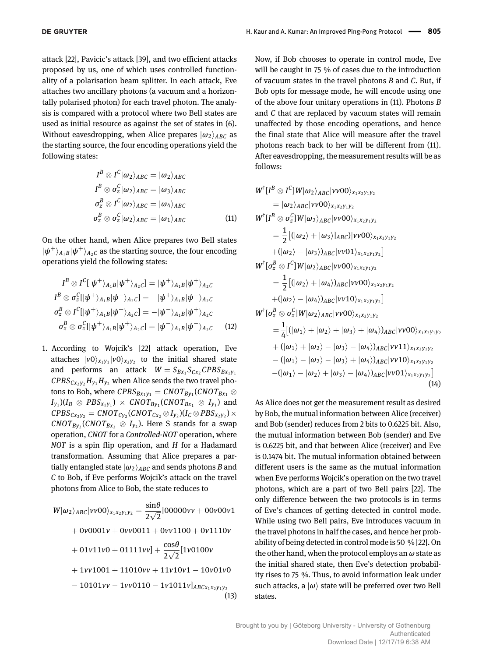attack [22], Pavicic's attack [39], and two efficient attacks proposed by us, one of which uses controlled functionality of a polarisation beam splitter. In each attack, Eve attaches two ancillary photons (a vacuum and a horizontally polarised photon) for each travel photon. The analysis is compared with a protocol where two Bell states are used as initial resource as against the set of states in (6). Without eavesdropping, when Alice prepares  $|\omega_2\rangle_{ABC}$  as the starting source, the four encoding operations yield the following states:

$$
I^{B} \otimes I^{C} |\omega_{2}\rangle_{ABC} = |\omega_{2}\rangle_{ABC}
$$
  
\n
$$
I^{B} \otimes \sigma_{z}^{C} |\omega_{2}\rangle_{ABC} = |\omega_{3}\rangle_{ABC}
$$
  
\n
$$
\sigma_{z}^{B} \otimes I^{C} |\omega_{2}\rangle_{ABC} = |\omega_{4}\rangle_{ABC}
$$
  
\n
$$
\sigma_{z}^{B} \otimes \sigma_{z}^{C} |\omega_{2}\rangle_{ABC} = |\omega_{1}\rangle_{ABC}
$$
  
\n(11)

On the other hand, when Alice prepares two Bell states  $|\psi^{+}\rangle_{A_{1}B}|\psi^{+}\rangle_{A_{2}C}$  as the starting source, the four encoding operations yield the following states:

$$
I^{B} \otimes I^{C}[\vert \psi^{+} \rangle_{A_{1}B} \vert \psi^{+} \rangle_{A_{2}C}] = \vert \psi^{+} \rangle_{A_{1}B} \vert \psi^{+} \rangle_{A_{2}C}
$$
  
\n
$$
I^{B} \otimes \sigma_{z}^{C}[\vert \psi^{+} \rangle_{A_{1}B} \vert \psi^{+} \rangle_{A_{2}C}] = -\vert \psi^{+} \rangle_{A_{1}B} \vert \psi^{-} \rangle_{A_{2}C}
$$
  
\n
$$
\sigma_{z}^{B} \otimes I^{C}[\vert \psi^{+} \rangle_{A_{1}B} \vert \psi^{+} \rangle_{A_{2}C}] = -\vert \psi^{-} \rangle_{A_{1}B} \vert \psi^{+} \rangle_{A_{2}C}
$$
  
\n
$$
\sigma_{z}^{B} \otimes \sigma_{z}^{C}[\vert \psi^{+} \rangle_{A_{1}B} \vert \psi^{+} \rangle_{A_{2}C}] = \vert \psi^{-} \rangle_{A_{1}B} \vert \psi^{-} \rangle_{A_{2}C}
$$
\n(12)

1. According to Wojcik's [22] attack operation, Eve attaches  $|v0\rangle_{x_1y_1}|v0\rangle_{x_2y_2}$  to the initial shared state and performs an attack  $W = S_{Bx_1} S_{Cx_2} C P B S_{Bx_1y_1}$  $CPBS<sub>Cx2y2</sub>H<sub>y1</sub>H<sub>y2</sub>$  when Alice sends the two travel photons to Bob, where  $CPBS_{Bx_1y_1} = CNOT_{By_1}(CNOT_{Bx_1} \otimes$  $I_{y_1}$ )( $I_B \otimes PBS_{x_1y_1}$ )  $\times \; \mathcal{CNOT}_{By_1}(\mathcal{CNOT}_{Bx_1} \otimes I_{y_1})$  and  $\mathcal{C}PBS_{Cx_2y_2} = \mathcal{CNOT}_{Cy_2}(\mathcal{CNOT}_{Cx_2} \otimes I_{y_2})(I_C \otimes PBS_{x_2y_2}) \times$  $\mathcal{CNOT}_{By_2}(\mathcal{CNOT}_{Bx_2} \otimes I_{y_2})$ . Here S stands for a swap operation, *CNOT* for a *Controlled-NOT* operation, where *NOT* is a spin flip operation, and *H* for a Hadamard transformation. Assuming that Alice prepares a partially entangled state  $|\omega_2\rangle_{ABC}$  and sends photons *B* and *C* to Bob, if Eve performs Wojcik's attack on the travel photons from Alice to Bob, the state reduces to

$$
W|\omega_2\rangle_{ABC}|\nu\nu00\rangle_{x_1x_2y_1y_2} = \frac{\sin\theta}{2\sqrt{2}}[00000\nu + 00\nu000\nu + 0\nu0001\nu + 0\nu\nu0011 + 0\nu\nu1100 + 0\nu1110\nu + 01\nu11\nu0 + 01111\nu\nu] + \frac{\cos\theta}{2\sqrt{2}}[1\nu0100\nu + 1\nu\nu1001 + 11010\nu + 11\nu10\nu1 - 10\nu01\nu0 - 10101\nu\nu - 1\nu\nu0110 - 1\nu1011\nu]_{ABCx_1x_2y_1y_2}
$$
\n(13)

Now, if Bob chooses to operate in control mode, Eve will be caught in 75 % of cases due to the introduction of vacuum states in the travel photons *B* and *C*. But, if Bob opts for message mode, he will encode using one of the above four unitary operations in (11). Photons *B* and *C* that are replaced by vacuum states will remain unaffected by those encoding operations, and hence the final state that Alice will measure after the travel photons reach back to her will be different from (11). After eavesdropping, the measurement results will be as follows:

$$
W^{\dagger}[I^{B} \otimes I^{C}]W|\omega_{2}\rangle_{ABC}|\nu\nu00\rangle_{x_{1}x_{2}y_{1}y_{2}}
$$
\n
$$
= |\omega_{2}\rangle_{ABC}|\nu\nu00\rangle_{x_{1}x_{2}y_{1}y_{2}}
$$
\n
$$
W^{\dagger}[I^{B} \otimes \sigma_{z}^{C}]W|\omega_{2}\rangle_{ABC}|\nu\nu00\rangle_{x_{1}x_{2}y_{1}y_{2}}
$$
\n
$$
= \frac{1}{2}[(|\omega_{2}\rangle + |\omega_{3}\rangle]_{ABC})|\nu\nu00\rangle_{x_{1}x_{2}y_{1}y_{2}}
$$
\n
$$
+(|\omega_{2}\rangle - |\omega_{3}\rangle)_{ABC}|\nu\nu01\rangle_{x_{1}x_{2}y_{1}y_{2}}
$$
\n
$$
= \frac{1}{2}[(|\omega_{2}\rangle + |\omega_{4}\rangle)_{ABC}|\nu\nu00\rangle_{x_{1}x_{2}y_{1}y_{2}}
$$
\n
$$
+(|\omega_{2}\rangle - |\omega_{4}\rangle)_{ABC}|\nu\nu00\rangle_{x_{1}x_{2}y_{1}y_{2}}
$$
\n
$$
+(|\omega_{2}\rangle - |\omega_{4}\rangle)_{ABC}|\nu\nu00\rangle_{x_{1}x_{2}y_{1}y_{2}}
$$
\n
$$
= \frac{1}{4}[(|\omega_{1}\rangle + |\omega_{2}\rangle + |\omega_{3}\rangle + |\omega_{4}\rangle)_{ABC}|\nu\nu00\rangle_{x_{1}x_{2}y_{1}y_{2}}
$$
\n
$$
+ (|\omega_{1}\rangle + |\omega_{2}\rangle - |\omega_{3}\rangle - |\omega_{4}\rangle)_{ABC}|\nu\nu11\rangle_{x_{1}x_{2}y_{1}y_{2}}
$$
\n
$$
- (|\omega_{1}\rangle - |\omega_{2}\rangle - |\omega_{3}\rangle + |\omega_{4}\rangle)_{ABC}|\nu\nu10\rangle_{x_{1}x_{2}y_{1}y_{2}}
$$
\n
$$
- (|\omega_{1}\rangle - |\omega_{2}\rangle + |\omega_{3}\rangle - |\omega_{4}\rangle)_{ABC}|\nu\nu01\rangle_{x_{1}x_{2}y_{1}y_{2}}
$$
\n
$$
(14)
$$

As Alice does not get the measurement result as desired by Bob, the mutual information between Alice (receiver) and Bob (sender) reduces from 2 bits to 0.6225 bit. Also, the mutual information between Bob (sender) and Eve is 0.6225 bit, and that between Alice (receiver) and Eve is 0.1474 bit. The mutual information obtained between different users is the same as the mutual information when Eve performs Wojcik's operation on the two travel photons, which are a part of two Bell pairs [22]. The only difference between the two protocols is in terms of Eve's chances of getting detected in control mode. While using two Bell pairs, Eve introduces vacuum in the travel photons in half the cases, and hence her probability of being detected in control mode is 50 % [22]. On the other hand, when the protocol employs an *ω* state as the initial shared state, then Eve's detection probability rises to 75 %. Thus, to avoid information leak under such attacks, a  $|\omega\rangle$  state will be preferred over two Bell states.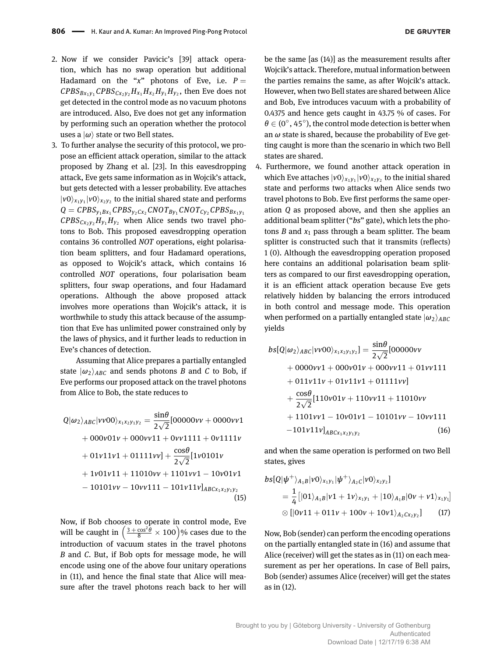- 2. Now if we consider Pavicic's [39] attack operation, which has no swap operation but additional Hadamard on the " $x$ " photons of Eve, i.e.  $P =$  $CPBS_{Bx_1y_1}CPBS_{Cx_2y_2}H_{x_1}H_{x_2}H_{y_1}H_{y_2}$ , then Eve does not get detected in the control mode as no vacuum photons are introduced. Also, Eve does not get any information by performing such an operation whether the protocol uses a  $|\omega\rangle$  state or two Bell states.
- 3. To further analyse the security of this protocol, we propose an efficient attack operation, similar to the attack proposed by Zhang et al. [23]. In this eavesdropping attack, Eve gets same information as in Wojcik's attack, but gets detected with a lesser probability. Eve attaches  $|v0\rangle_{x_1y_1}|v0\rangle_{x_2y_2}$  to the initial shared state and performs  $Q = \text{CPBS}_{y_1Bx_1} \text{CPBS}_{y_2Cx_2} \text{CNOT}_{By_1} \text{CNOT}_{Cy_2} \text{CPBS}_{Bx_1y_1}$  $CPBS<sub>Cx</sub>, y, H<sub>y</sub>, H<sub>y</sub>$  when Alice sends two travel photons to Bob. This proposed eavesdropping operation contains 36 controlled *NOT* operations, eight polarisation beam splitters, and four Hadamard operations, as opposed to Wojcik's attack, which contains 16 controlled *NOT* operations, four polarisation beam splitters, four swap operations, and four Hadamard operations. Although the above proposed attack involves more operations than Wojcik's attack, it is worthwhile to study this attack because of the assumption that Eve has unlimited power constrained only by the laws of physics, and it further leads to reduction in Eve's chances of detection.

Assuming that Alice prepares a partially entangled state  $|\omega_2\rangle_{ABC}$  and sends photons *B* and *C* to Bob, if Eve performs our proposed attack on the travel photons from Alice to Bob, the state reduces to

$$
Q|\omega_2\rangle_{ABC}|\nu\nu00\rangle_{x_1x_2y_1y_2} = \frac{\sin\theta}{2\sqrt{2}}[00000\nu + 0000\nu + 000\nu + 000\nu + 000\nu + 1 + 0\nu + 111\nu + 01111\nu + \frac{\cos\theta}{2\sqrt{2}}[1\nu 0101\nu + 1\nu 01\nu + 11010\nu + 11010\nu + 1101\nu + 101\nu + 101\nu + 101\nu + 101\nu + 101\nu + 101\nu + 101\nu + 101\nu + 101\nu + 101\nu + 101\nu + 101\nu + 101\nu + 101\nu + 101\nu + 101\nu + 101\nu + 101\nu + 101\nu + 101\nu + 101\nu + 101\nu + 101\nu + 101\nu + 101\nu + 101\nu + 101\nu + 101\nu + 101\nu + 101\nu + 101\nu + 101\nu + 101\nu + 101\nu + 101\nu + 101\nu + 101\nu + 101\nu + 101\nu + 101\nu + 101\nu + 101\nu + 101\nu + 101\nu + 101\nu + 101\nu + 101\nu + 101\nu + 101\nu + 101\nu + 101\nu + 101\nu + 101\nu + 101\nu + 101\nu + 101\nu + 101\nu + 101\nu + 101\nu + 101\nu + 101\nu + 101\nu + 101\nu + 101\nu + 101\nu + 101\nu + 101\nu + 101\nu + 101\nu + 101\nu + 101\nu + 101\nu + 101\nu + 101\nu + 101\nu + 101\nu + 101\nu + 101\nu + 101\nu + 101\nu + 101\nu + 101\nu + 101\nu + 101\nu + 1
$$

Now, if Bob chooses to operate in control mode, Eve will be caught in  $\left(\frac{3+\cos^2\theta}{8}\times 100\right)\%$  cases due to the introduction of vacuum states in the travel photons *B* and *C*. But, if Bob opts for message mode, he will encode using one of the above four unitary operations in (11), and hence the final state that Alice will measure after the travel photons reach back to her will be the same [as (14)] as the measurement results after Wojcik's attack. Therefore, mutual information between the parties remains the same, as after Wojcik's attack. However, when two Bell states are shared between Alice and Bob, Eve introduces vacuum with a probability of 0.4375 and hence gets caught in 43.75 % of cases. For  $\theta \in (0^{\circ}, 45^{\circ})$ , the control mode detection is better when an *ω* state is shared, because the probability of Eve getting caught is more than the scenario in which two Bell states are shared.

4. Furthermore, we found another attack operation in which Eve attaches  $|v0\rangle_{x_1y_1}|v0\rangle_{x_2y_2}$  to the initial shared state and performs two attacks when Alice sends two travel photons to Bob. Eve first performs the same operation *Q* as proposed above, and then she applies an additional beam splitter ("*bs*" gate), which lets the photons  $B$  and  $x_1$  pass through a beam splitter. The beam splitter is constructed such that it transmits (reflects) 1 (0). Although the eavesdropping operation proposed here contains an additional polarisation beam splitters as compared to our first eavesdropping operation, it is an efficient attack operation because Eve gets relatively hidden by balancing the errors introduced in both control and message mode. This operation when performed on a partially entangled state  $|\omega_2\rangle_{ABC}$ yields

*bs*[*Q*|*ω*2⟩*ABC*|*vv*00⟩*x*1*x*2*y*1*y*<sup>2</sup> ] = sin*θ* 2 √ 2 [00000*vv* + 0000*vv*1 + 000*v*01*v* + 000*vv*11 + 01*vv*111 + 011*v*11*v* + 01*v*11*v*1 + 01111*vv*] + cos*θ* 2 √ 2 [110*v*01*v* + 110*vv*11 + 11010*vv* + 1101*vv*1 − 10*v*01*v*1 − 10101*vv* − 10*vv*111 −101*v*11*v*]*ABCx*1*x*2*y*1*y*<sup>2</sup> (16)

and when the same operation is performed on two Bell states, gives

$$
bs[Q|\psi^{+}\rangle_{A_{1}B}|\nu0\rangle_{x_{1}y_{1}}|\psi^{+}\rangle_{A_{2}C}|\nu0\rangle_{x_{2}y_{2}}]
$$
  
=  $\frac{1}{4}[|01\rangle_{A_{1}B}|\nu1 + 1\nu\rangle_{x_{1}y_{1}} + |10\rangle_{A_{1}B}|0\nu + \nu1\rangle_{x_{1}y_{1}}]$   
 $\otimes [|0\nu11 + 011\nu + 100\nu + 10\nu1\rangle_{A_{2}C x_{2}y_{2}}]$  (17)

Now, Bob (sender) can perform the encoding operations on the partially entangled state in (16) and assume that Alice (receiver) will get the states as in (11) on each measurement as per her operations. In case of Bell pairs, Bob (sender) assumes Alice (receiver) will get the states as in (12).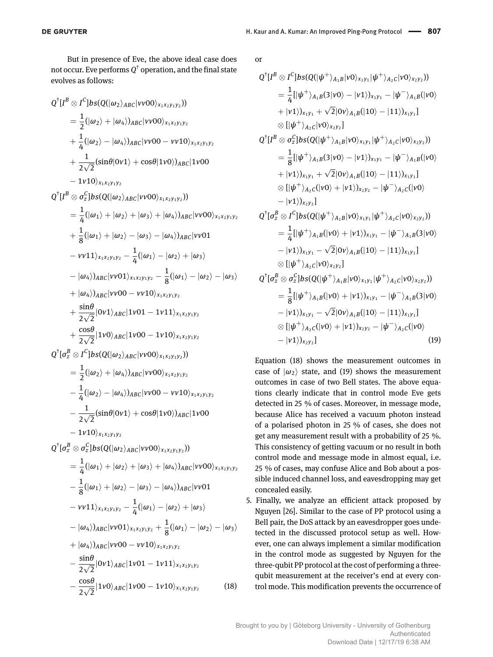But in presence of Eve, the above ideal case does not occur. Eve performs  $Q^\dagger$  operation, and the final state evolves as follows:

$$
Q^{\dagger}[I^{B} \otimes I^{C}]bs(Q(|\omega_{2}\rangle_{ABC}|\nu\nu 00\rangle_{x_{1}x_{2}y_{1}y_{2}}))
$$
\n
$$
= \frac{1}{2}(|\omega_{2}\rangle + |\omega_{4}\rangle)_{ABC}|\nu\nu 00\rangle_{x_{1}x_{2}y_{1}y_{2}}
$$
\n
$$
+ \frac{1}{4}(|\omega_{2}\rangle - |\omega_{4}\rangle)_{ABC}|\nu\nu 00 - \nu\nu 10\rangle_{x_{1}x_{2}y_{1}y_{2}}
$$
\n
$$
+ \frac{1}{2\sqrt{2}}(\sin\theta|0\nu 1\rangle + \cos\theta|1\nu 0\rangle)_{ABC}|1\nu 00
$$
\n
$$
- 1\nu 10\rangle_{x_{1}x_{2}y_{1}y_{2}}
$$

$$
Q^{\dagger}[I^{B} \otimes \sigma_{z}^{C}]bs(Q(|\omega_{2}\rangle_{ABC}|\nu\nu00\rangle_{x_{1}x_{2}y_{1}y_{2}}))
$$
\n
$$
= \frac{1}{4}(|\omega_{1}\rangle + |\omega_{2}\rangle + |\omega_{3}\rangle + |\omega_{4}\rangle)_{ABC}|\nu\nu00\rangle_{x_{1}x_{2}y_{1}y_{2}} + \frac{1}{8}(|\omega_{1}\rangle + |\omega_{2}\rangle - |\omega_{3}\rangle - |\omega_{4}\rangle)_{ABC}|\nu\nu01 - \nu\nu11\rangle_{x_{1}x_{2}y_{1}y_{2}} - \frac{1}{4}(|\omega_{1}\rangle - |\omega_{2}\rangle + |\omega_{3}\rangle - |\omega_{4}\rangle)_{ABC}|\nu\nu01\rangle_{x_{1}x_{2}y_{1}y_{2}} - \frac{1}{8}(|\omega_{1}\rangle - |\omega_{2}\rangle - |\omega_{3}\rangle + |\omega_{4}\rangle)_{ABC}|\nu\nu00 - \nu\nu10\rangle_{x_{1}x_{2}y_{1}y_{2}} + \frac{\sin\theta}{2\sqrt{2}}|0\nu1\rangle_{ABC}|1\nu01 - 1\nu11\rangle_{x_{1}x_{2}y_{1}y_{2}} + \frac{\cos\theta}{2\sqrt{2}}|1\nu0\rangle_{ABC}|1\nu00 - 1\nu10\rangle_{x_{1}x_{2}y_{1}y_{2}}\nQ^{\dagger}[ \sigma_{z}^{B} \otimes I^{C}]bs(Q(|\omega_{2}\rangle_{ABC}|\nu\nu00\rangle_{x_{1}x_{2}y_{1}y_{2}}))
$$
\n
$$
= \frac{1}{2}(|\omega_{2}\rangle + |\omega_{4}\rangle)_{ABC}|\nu\nu00\rangle_{x_{1}x_{2}y_{1}y_{2}} - \frac{1}{4}(|\omega_{2}\rangle - |\omega_{4}\rangle)_{ABC}|\nu\nu00 - \nu\nu10\rangle_{x_{1}x_{2}y_{1}y_{2}} - \frac{1}{2\sqrt{2}}(\sin\theta|0\nu1\rangle + \cos\theta|1\nu0\rangle_{A B C}|\nu\nu00 - 1\nu10\rangle_{x_{1}x_{2}y_{1}y_{2}})
$$
\nQ^{\dagger}[ \sigma\_{z}^{B} \otimes \sigma\_{z}^{C}]bs(Q(|\omega\_{2}\rangle\_{ABC}|\nu\nu00\rangle\_{x\_{

$$
= \frac{1}{4}(|\omega_1\rangle + |\omega_2\rangle + |\omega_3\rangle + |\omega_4\rangle)_{ABC} |vv00\rangle_{x_1x_2y_1y_2}
$$
  
\n
$$
- \frac{1}{8}(|\omega_1\rangle + |\omega_2\rangle - |\omega_3\rangle - |\omega_4\rangle)_{ABC} |vv01
$$
  
\n
$$
- vv11\rangle_{x_1x_2y_1y_2} - \frac{1}{4}(|\omega_1\rangle - |\omega_2\rangle + |\omega_3\rangle
$$
  
\n
$$
- |\omega_4\rangle)_{ABC} |vv01\rangle_{x_1x_2y_1y_2} + \frac{1}{8}(|\omega_1\rangle - |\omega_2\rangle - |\omega_3\rangle
$$
  
\n
$$
+ |\omega_4\rangle)_{ABC} |vv00 - vv10\rangle_{x_1x_2y_1y_2}
$$
  
\n
$$
- \frac{\sin\theta}{2\sqrt{2}} |0v1\rangle_{ABC} |1v01 - 1v11\rangle_{x_1x_2y_1y_2}
$$
  
\n
$$
- \frac{\cos\theta}{2\sqrt{2}} |1v0\rangle_{ABC} |1v00 - 1v10\rangle_{x_1x_2y_1y_2}
$$
 (18)

or

$$
Q^{\dagger}[I^{B} \otimes I^{C}]bs(Q(|\psi^{+}\rangle_{A_{1}B}|\nu_{0}\rangle_{x_{1}y_{1}}|\psi^{+}\rangle_{A_{2}C}|\nu_{0}\rangle_{x_{2}y_{2}}))
$$
\n
$$
= \frac{1}{4}[|\psi^{+}\rangle_{A_{1}B}(3|\nu_{0}\rangle - |\nu_{1}\rangle_{x_{1}y_{1}} - |\psi^{-}\rangle_{A_{1}B}(|\nu_{0}\rangle + |\nu_{1}\rangle_{x_{1}y_{1}} + \sqrt{2}|\nu_{0}\rangle_{A_{1}B}(|10\rangle - |11\rangle_{x_{1}y_{1}}]\n\otimes [|\psi^{+}\rangle_{A_{2}C}|\nu_{0}\rangle_{x_{2}y_{2}}]\nQ^{\dagger}[I^{B} \otimes \sigma_{z}^{C}]bs(Q(|\psi^{+}\rangle_{A_{1}B}|\nu_{0}\rangle_{x_{1}y_{1}}|\psi^{+}\rangle_{A_{2}C}|\nu_{0}\rangle_{x_{2}y_{2}}))\n= \frac{1}{8}[|\psi^{+}\rangle_{A_{1}B}(3|\nu_{0}\rangle - |\nu_{1}\rangle_{x_{1}y_{1}} - |\psi^{-}\rangle_{A_{1}B}(|\nu_{0}\rangle + |\nu_{1}\rangle_{x_{1}y_{1}} + \sqrt{2}|\nu_{0}\rangle_{A_{1}B}(|10\rangle - |11\rangle_{x_{1}y_{1}}]\n\otimes [|\psi^{+}\rangle_{A_{2}C}(|\nu_{0}\rangle + |\nu_{1}\rangle_{x_{2}y_{2}} - |\psi^{-}\rangle_{A_{2}C}(|\nu_{0}\rangle - |\nu_{1}\rangle_{x_{2}y_{2}}]\nQ^{\dagger}[\sigma_{z}^{B} \otimes I^{C}]bs(Q(|\psi^{+}\rangle_{A_{1}B}|\nu_{0}\rangle_{x_{1}y_{1}}|\psi^{+}\rangle_{A_{2}C}|\nu_{0}\rangle_{x_{2}y_{2}}))\n= \frac{1}{4}[|\psi^{+}\rangle_{A_{1}B}(|\nu_{0}\rangle + |\nu_{1}\rangle_{x_{1}y_{1}} - |\psi^{-}\rangle_{A_{1}B}(3|\nu_{0}\rangle - |\nu_{1}\rangle_{x_{1}y_{1}} - \sqrt{2}|\nu_{0}\rangle_{x_{1}y_{2}}]\nQ^{\dagger}[\sigma_{z}^{B} \otimes \sigma_{z}^{C}]bs(Q(|\psi^{+}\rangle_{
$$

Equation (18) shows the measurement outcomes in case of  $|\omega_2\rangle$  state, and (19) shows the measurement outcomes in case of two Bell states. The above equations clearly indicate that in control mode Eve gets detected in 25 % of cases. Moreover, in message mode, because Alice has received a vacuum photon instead of a polarised photon in 25 % of cases, she does not get any measurement result with a probability of 25 %. This consistency of getting vacuum or no result in both control mode and message mode in almost equal, i.e. 25 % of cases, may confuse Alice and Bob about a possible induced channel loss, and eavesdropping may get concealed easily.

5. Finally, we analyze an efficient attack proposed by Nguyen [26]. Similar to the case of PP protocol using a Bell pair, the DoS attack by an eavesdropper goes undetected in the discussed protocol setup as well. However, one can always implement a similar modification in the control mode as suggested by Nguyen for the three-qubit PP protocol at the cost of performing a threequbit measurement at the receiver's end at every control mode. This modification prevents the occurrence of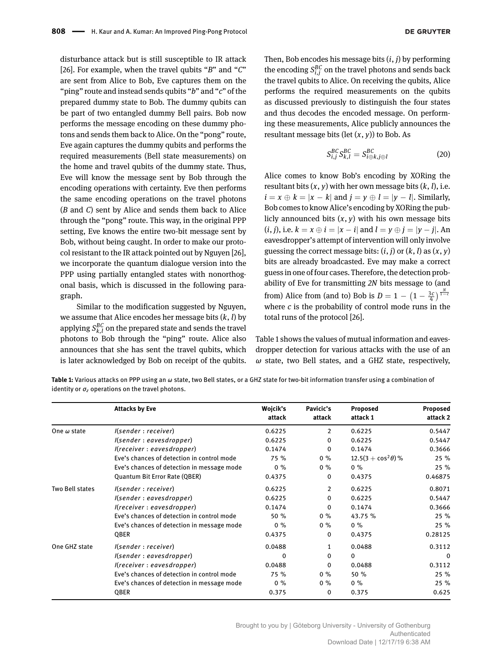disturbance attack but is still susceptible to IR attack [26]. For example, when the travel qubits "*B*" and "*C*" are sent from Alice to Bob, Eve captures them on the "ping" route and instead sends qubits "*b*" and "*c*" of the prepared dummy state to Bob. The dummy qubits can be part of two entangled dummy Bell pairs. Bob now performs the message encoding on these dummy photons and sends them back to Alice. On the "pong" route, Eve again captures the dummy qubits and performs the required measurements (Bell state measurements) on the home and travel qubits of the dummy state. Thus, Eve will know the message sent by Bob through the encoding operations with certainty. Eve then performs the same encoding operations on the travel photons (*B* and *C*) sent by Alice and sends them back to Alice through the "pong" route. This way, in the original PPP setting, Eve knows the entire two-bit message sent by Bob, without being caught. In order to make our protocol resistant to the IR attack pointed out by Nguyen [26], we incorporate the quantum dialogue version into the PPP using partially entangled states with nonorthogonal basis, which is discussed in the following paragraph.

Similar to the modification suggested by Nguyen, we assume that Alice encodes her message bits (*k*, *l*) by applying  $S_{k,l}^{BC}$  on the prepared state and sends the travel photons to Bob through the "ping" route. Alice also announces that she has sent the travel qubits, which is later acknowledged by Bob on receipt of the qubits. Then, Bob encodes his message bits (*i*, *j*) by performing the encoding  $S^{BC}_{i,j}$  on the travel photons and sends back the travel qubits to Alice. On receiving the qubits, Alice performs the required measurements on the qubits as discussed previously to distinguish the four states and thus decodes the encoded message. On performing these measurements, Alice publicly announces the resultant message bits (let  $(x, y)$ ) to Bob. As

$$
S_{i,j}^{BC} S_{k,l}^{BC} = S_{i \oplus k,j \oplus l}^{BC}
$$
 (20)

Alice comes to know Bob's encoding by XORing the resultant bits  $(x, y)$  with her own message bits  $(k, l)$ , i.e.  $i = x \oplus k = |x - k|$  and  $j = y \oplus l = |y - l|$ . Similarly, Bob comes to know Alice's encoding by XORing the publicly announced bits  $(x, y)$  with his own message bits  $(i, j)$ , i.e.  $k = x \oplus i = |x - i|$  and  $l = v \oplus i = |v - j|$ . An eavesdropper's attempt of intervention will only involve guessing the correct message bits:  $(i, j)$  or  $(k, l)$  as  $(x, y)$ bits are already broadcasted. Eve may make a correct guess in one of four cases. Therefore, the detection probability of Eve for transmitting *2N* bits message to (and from) Alice from (and to) Bob is  $D = 1 - \left(1 - \frac{3c}{4}\right)^{\frac{N}{1-c}}$ where *c* is the probability of control mode runs in the total runs of the protocol [26].

Table 1 shows the values of mutual information and eavesdropper detection for various attacks with the use of an *ω* state, two Bell states, and a GHZ state, respectively,

**Table 1:** Various attacks on PPP using an *ω* state, two Bell states, or a GHZ state for two-bit information transfer using a combination of identity or *σ<sup>z</sup>* operations on the travel photons.

|                    | <b>Attacks by Eve</b>                      | Wojcik's<br>attack | Pavicic's<br>attack | Proposed<br>attack 1        | Proposed<br>attack 2 |
|--------------------|--------------------------------------------|--------------------|---------------------|-----------------------------|----------------------|
| One $\omega$ state | I(sender: receiver)                        | 0.6225             | $\overline{2}$      | 0.6225                      | 0.5447               |
|                    | I(sender: eavesdropper)                    | 0.6225             | 0                   | 0.6225                      | 0.5447               |
|                    | I(receiver: eavesdropper)                  | 0.1474             | 0                   | 0.1474                      | 0.3666               |
|                    | Eve's chances of detection in control mode | 75 %               | $0\%$               | $12.5(3 + \cos^2 \theta)$ % | 25 %                 |
|                    | Eve's chances of detection in message mode | $0\%$              | $0\%$               | $0\%$                       | 25 %                 |
|                    | Quantum Bit Error Rate (QBER)              | 0.4375             | 0                   | 0.4375                      | 0.46875              |
| Two Bell states    | I(sender: receiver)                        | 0.6225             | $\overline{2}$      | 0.6225                      | 0.8071               |
|                    | I(sender: eavesdropper)                    | 0.6225             | $\Omega$            | 0.6225                      | 0.5447               |
|                    | I(receiver: eavesdropper)                  | 0.1474             | 0                   | 0.1474                      | 0.3666               |
|                    | Eve's chances of detection in control mode | 50 %               | $0\%$               | 43.75 %                     | 25 %                 |
|                    | Eve's chances of detection in message mode | $0\%$              | $0\%$               | $0\%$                       | 25 %                 |
|                    | QBER                                       | 0.4375             | 0                   | 0.4375                      | 0.28125              |
| One GHZ state      | I(sender: receiver)                        | 0.0488             | 1                   | 0.0488                      | 0.3112               |
|                    | I(sender: eavesdropper)                    | $\Omega$           | 0                   | $\mathbf 0$                 | $\Omega$             |
|                    | I(receiver: eavesdropper)                  | 0.0488             | $\Omega$            | 0.0488                      | 0.3112               |
|                    | Eve's chances of detection in control mode | 75 %               | $0\%$               | 50 %                        | 25 %                 |
|                    | Eve's chances of detection in message mode | $0\%$              | $0\%$               | $0\%$                       | 25 %                 |
|                    | QBER                                       | 0.375              | $\mathbf{0}$        | 0.375                       | 0.625                |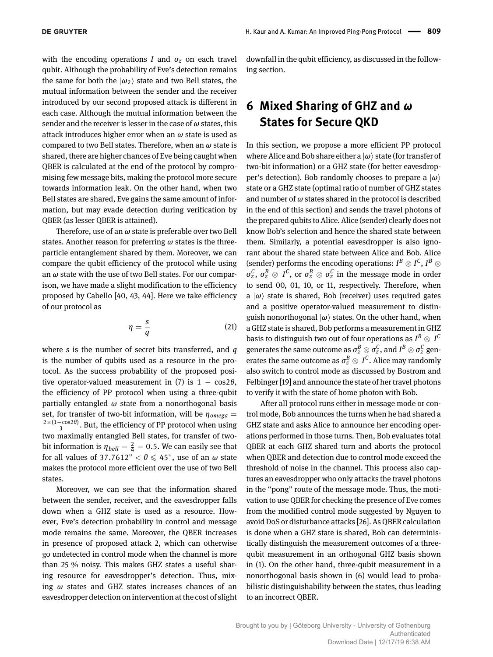with the encoding operations *I* and  $\sigma_z$  on each travel qubit. Although the probability of Eve's detection remains the same for both the  $|\omega_2\rangle$  state and two Bell states, the mutual information between the sender and the receiver introduced by our second proposed attack is different in each case. Although the mutual information between the sender and the receiver is lesser in the case of *ω* states, this attack introduces higher error when an *ω* state is used as compared to two Bell states. Therefore, when an *ω* state is shared, there are higher chances of Eve being caught when QBER is calculated at the end of the protocol by compromising few message bits, making the protocol more secure towards information leak. On the other hand, when two Bell states are shared, Eve gains the same amount of information, but may evade detection during verification by QBER (as lesser QBER is attained).

Therefore, use of an *ω* state is preferable over two Bell states. Another reason for preferring *ω* states is the threeparticle entanglement shared by them. Moreover, we can compare the qubit efficiency of the protocol while using an *ω* state with the use of two Bell states. For our comparison, we have made a slight modification to the efficiency proposed by Cabello [40, 43, 44]. Here we take efficiency of our protocol as

$$
\eta = \frac{s}{q} \tag{21}
$$

where *s* is the number of secret bits transferred, and *q* is the number of qubits used as a resource in the protocol. As the success probability of the proposed positive operator-valued measurement in (7) is  $1 - \cos 2\theta$ , the efficiency of PP protocol when using a three-qubit partially entangled *ω* state from a nonorthogonal basis set, for transfer of two-bit information, will be *ηomega* = <sup>2</sup>×(1−cos2*θ*) 3 . But, the efficiency of PP protocol when using two maximally entangled Bell states, for transfer of twobit information is  $\eta_{bell} = \frac{2}{4} = 0.5$ . We can easily see that for all values of 37.7612°  $<$   $θ$   $\leqslant$  45°, use of an  $ω$  state makes the protocol more efficient over the use of two Bell states.

Moreover, we can see that the information shared between the sender, receiver, and the eavesdropper falls down when a GHZ state is used as a resource. However, Eve's detection probability in control and message mode remains the same. Moreover, the QBER increases in presence of proposed attack 2, which can otherwise go undetected in control mode when the channel is more than 25 % noisy. This makes GHZ states a useful sharing resource for eavesdropper's detection. Thus, mixing *ω* states and GHZ states increases chances of an eavesdropper detection on intervention at the cost of slight downfall in the qubit efficiency, as discussed in the following section.

# **6 Mixed Sharing of GHZ and** *ω* **States for Secure QKD**

In this section, we propose a more efficient PP protocol where Alice and Bob share either a |*ω*⟩ state (for transfer of two-bit information) or a GHZ state (for better eavesdropper's detection). Bob randomly chooses to prepare a |*ω*⟩ state or a GHZ state (optimal ratio of number of GHZ states and number of *ω* states shared in the protocol is described in the end of this section) and sends the travel photons of the prepared qubits to Alice. Alice (sender) clearly does not know Bob's selection and hence the shared state between them. Similarly, a potential eavesdropper is also ignorant about the shared state between Alice and Bob. Alice (sender) performs the encoding operations:  $I^B \otimes I^C$ ,  $I^B \otimes I^C$ *σ*<sub>*z*</sub>  $σ_z^B$   $\otimes$  *I*<sup>*C*</sup>, or *σ*<sub>*z*</sub><sup>*B*</sup>  $\otimes$  *σ*<sub>*z*</sub><sup>*C*</sup> in the message mode in order to send 00, 01, 10, or 11, respectively. Therefore, when a |*ω*⟩ state is shared, Bob (receiver) uses required gates and a positive operator-valued measurement to distinguish nonorthogonal  $|\omega\rangle$  states. On the other hand, when a GHZ state is shared, Bob performs a measurement in GHZ basis to distinguish two out of four operations as  $I^B\otimes I^C$ generates the same outcome as  $\sigma_z^B \otimes \sigma_z^C$ , and  $I^B \otimes \sigma_z^C$  generates the same outcome as  $\sigma_z^B \otimes I^C$ . Alice may randomly also switch to control mode as discussed by Bostrom and Felbinger [19] and announce the state of her travel photons to verify it with the state of home photon with Bob.

After all protocol runs either in message mode or control mode, Bob announces the turns when he had shared a GHZ state and asks Alice to announce her encoding operations performed in those turns. Then, Bob evaluates total QBER at each GHZ shared turn and aborts the protocol when QBER and detection due to control mode exceed the threshold of noise in the channel. This process also captures an eavesdropper who only attacks the travel photons in the "pong" route of the message mode. Thus, the motivation to use QBER for checking the presence of Eve comes from the modified control mode suggested by Nguyen to avoid DoS or disturbance attacks [26]. As QBER calculation is done when a GHZ state is shared, Bob can deterministically distinguish the measurement outcomes of a threequbit measurement in an orthogonal GHZ basis shown in (1). On the other hand, three-qubit measurement in a nonorthogonal basis shown in (6) would lead to probabilistic distinguishability between the states, thus leading to an incorrect QBER.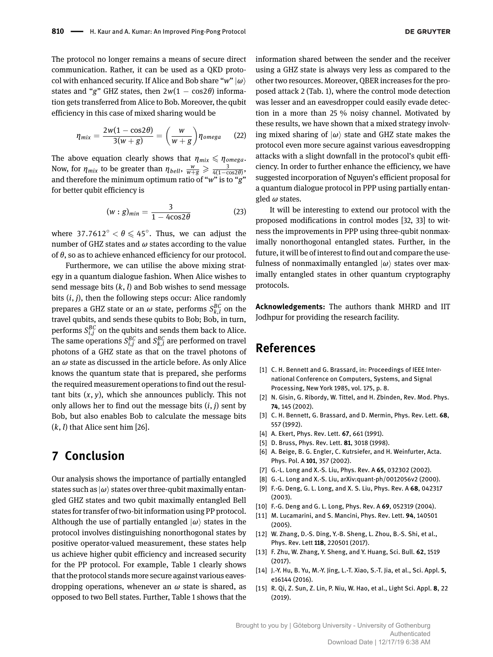$$
\eta_{mix} = \frac{2w(1 - \cos 2\theta)}{3(w + g)} = \left(\frac{w}{w + g}\right) \eta_{omega} \qquad (22)
$$

The above equation clearly shows that  $\eta_{mix} \leq \eta_{omega}$ . Now, for  $\eta_{mix}$  to be greater than  $\eta_{bell}$ ,  $\frac{w}{w+g} \geq \frac{3}{4(1-\cos 2\theta)}$ and therefore the minimum optimum ratio of "*w*" is to "*g*" for better qubit efficiency is

$$
(w: g)_{min} = \frac{3}{1 - 4\cos 2\theta} \tag{23}
$$

where 37.7612°  $< \theta \leqslant 45^{\circ}$ . Thus, we can adjust the number of GHZ states and *ω* states according to the value of *θ*, so as to achieve enhanced efficiency for our protocol.

Furthermore, we can utilise the above mixing strategy in a quantum dialogue fashion. When Alice wishes to send message bits (*k*, *l*) and Bob wishes to send message bits (*i*, *j*), then the following steps occur: Alice randomly prepares a GHZ state or an  $\omega$  state, performs  $S_{k,l}^{BC}$  on the travel qubits, and sends these qubits to Bob; Bob, in turn, performs  $S^{BC}_{i,j}$  on the qubits and sends them back to Alice. The same operations  $S^{BC}_{i,j}$  and  $S^{BC}_{k,l}$  are performed on travel photons of a GHZ state as that on the travel photons of an *ω* state as discussed in the article before. As only Alice knows the quantum state that is prepared, she performs the required measurement operations to find out the resultant bits  $(x, y)$ , which she announces publicly. This not only allows her to find out the message bits (*i*, *j*) sent by Bob, but also enables Bob to calculate the message bits  $(k, l)$  that Alice sent him [26].

### **7 Conclusion**

Our analysis shows the importance of partially entangled states such as  $|\omega\rangle$  states over three-qubit maximally entangled GHZ states and two qubit maximally entangled Bell states for transfer of two-bit information using PP protocol. Although the use of partially entangled  $|\omega\rangle$  states in the protocol involves distinguishing nonorthogonal states by positive operator-valued measurement, these states help us achieve higher qubit efficiency and increased security for the PP protocol. For example, Table 1 clearly shows that the protocol stands more secure against various eavesdropping operations, whenever an *ω* state is shared, as opposed to two Bell states. Further, Table 1 shows that the information shared between the sender and the receiver using a GHZ state is always very less as compared to the other two resources. Moreover, QBER increases for the proposed attack 2 (Tab. 1), where the control mode detection was lesser and an eavesdropper could easily evade detection in a more than 25 % noisy channel. Motivated by these results, we have shown that a mixed strategy involving mixed sharing of  $|\omega\rangle$  state and GHZ state makes the protocol even more secure against various eavesdropping attacks with a slight downfall in the protocol's qubit efficiency. In order to further enhance the efficiency, we have suggested incorporation of Nguyen's efficient proposal for a quantum dialogue protocol in PPP using partially entangled *ω* states.

It will be interesting to extend our protocol with the proposed modifications in control modes [32, 33] to witness the improvements in PPP using three-qubit nonmaximally nonorthogonal entangled states. Further, in the future, it will be of interest to find out and compare the usefulness of nonmaximally entangled |*ω*⟩ states over maximally entangled states in other quantum cryptography protocols.

**Acknowledgements:** The authors thank MHRD and IIT Jodhpur for providing the research facility.

### **References**

- [1] C. H. Bennett and G. Brassard, in: Proceedings of IEEE International Conference on Computers, Systems, and Signal Processing, New York 1985, vol. 175, p. 8.
- [2] N. Gisin, G. Ribordy, W. Tittel, and H. Zbinden, Rev. Mod. Phys. **74**, 145 (2002).
- [3] C. H. Bennett, G. Brassard, and D. Mermin, Phys. Rev. Lett. **68**, 557 (1992).
- [4] A. Ekert, Phys. Rev. Lett. **67**, 661 (1991).
- [5] D. Bruss, Phys. Rev. Lett. **81**, 3018 (1998).
- [6] A. Beige, B. G. Engler, C. Kutrsiefer, and H. Weinfurter, Acta. Phys. Pol. A **101**, 357 (2002).
- [7] G.-L. Long and X.-S. Liu, Phys. Rev. A **65**, 032302 (2002).
- [8] G.-L. Long and X.-S. Liu, arXiv:quant-ph/0012056v2 (2000).
- [9] F.-G. Deng, G. L. Long, and X. S. Liu, Phys. Rev. A **68**, 042317 (2003).
- [10] F.-G. Deng and G. L. Long, Phys. Rev. A **69**, 052319 (2004).
- [11] M. Lucamarini, and S. Mancini, Phys. Rev. Lett. **94**, 140501 (2005).
- [12] W. Zhang, D.-S. Ding, Y.-B. Sheng, L. Zhou, B.-S. Shi, et al., Phys. Rev. Lett **118**, 220501 (2017).
- [13] F. Zhu, W. Zhang, Y. Sheng, and Y. Huang, Sci. Bull. **62**, 1519 (2017).
- [14] J.-Y. Hu, B. Yu, M.-Y. Jing, L.-T. Xiao, S.-T. Jia, et al., Sci. Appl. **5**, e16144 (2016).
- [15] R. Qi, Z. Sun, Z. Lin, P. Niu, W. Hao, et al., Light Sci. Appl. **8**, 22 (2019).